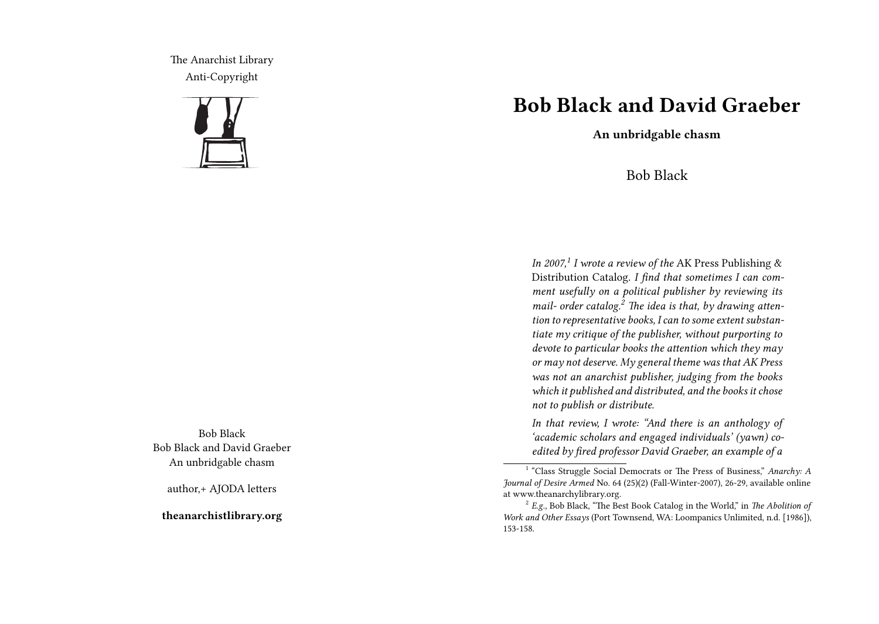The Anarchist Library Anti-Copyright



Bob Black Bob Black and David Graeber An unbridgable chasm

author,+ AJODA letters

**theanarchistlibrary.org**

## **Bob Black and David Graeber**

**An unbridgable chasm**

## Bob Black

*In 2007,<sup>1</sup> I wrote a review of the* AK Press Publishing & Distribution Catalog. *I find that sometimes I can comment usefully on a political publisher by reviewing its mail- order catalog.<sup>2</sup> The idea is that, by drawing attention to representative books, I can to some extent substantiate my critique of the publisher, without purporting to devote to particular books the attention which they may or may not deserve. My general theme was that AK Press was not an anarchist publisher, judging from the books which it published and distributed, and the books it chose not to publish or distribute.*

*In that review, I wrote: "And there is an anthology of 'academic scholars and engaged individuals' (yawn) coedited by fired professor David Graeber, an example of a*

<sup>&</sup>lt;sup>1</sup> "Class Struggle Social Democrats or The Press of Business," Anarchy: A *Journal of Desire Armed* No. 64 (25)(2) (Fall-Winter-2007), 26-29, available online at www.theanarchylibrary.org.

<sup>&</sup>lt;sup>2</sup> E.g., Bob Black, "The Best Book Catalog in the World," in *The Abolition of Work and Other Essays* (Port Townsend, WA: Loompanics Unlimited, n.d. [1986]), 153-158.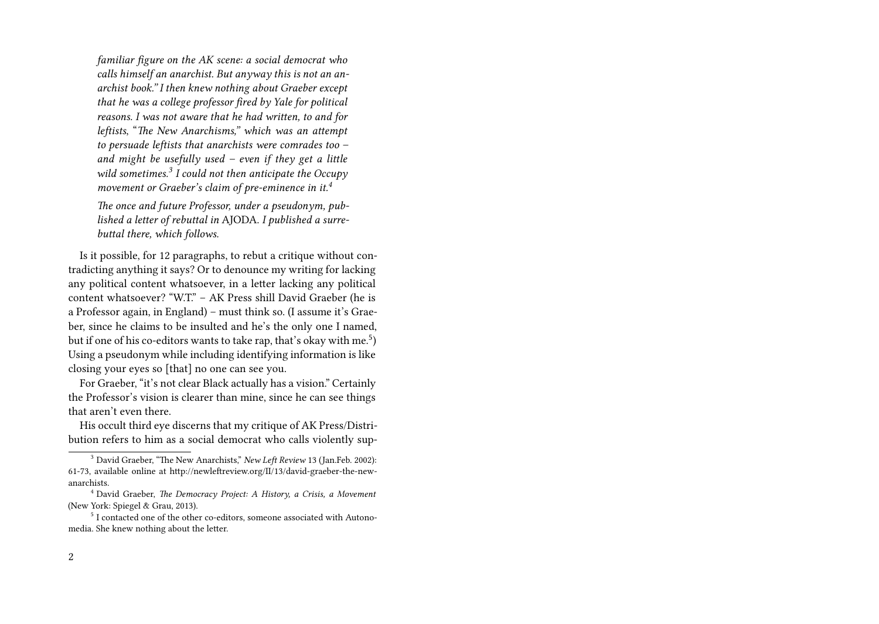*familiar figure on the AK scene: a social democrat who calls himself an anarchist. But anyway this is not an anarchist book." I then knew nothing about Graeber except that he was a college professor fired by Yale for political reasons. I was not aware that he had written, to and for leftists*, "*The New Anarchisms," which was an attempt to persuade leftists that anarchists were comrades too – and might be usefully used – even if they get a little wild sometimes.<sup>3</sup> I could not then anticipate the Occupy movement or Graeber's claim of pre-eminence in it.<sup>4</sup>*

*The once and future Professor, under a pseudonym, published a letter of rebuttal in* AJODA. *I published a surrebuttal there, which follows.*

Is it possible, for 12 paragraphs, to rebut a critique without contradicting anything it says? Or to denounce my writing for lacking any political content whatsoever, in a letter lacking any political content whatsoever? "W.T." – AK Press shill David Graeber (he is a Professor again, in England) – must think so. (I assume it's Graeber, since he claims to be insulted and he's the only one I named, but if one of his co-editors wants to take rap, that's okay with me.<sup>5</sup>) Using a pseudonym while including identifying information is like closing your eyes so [that] no one can see you.

For Graeber, "it's not clear Black actually has a vision." Certainly the Professor's vision is clearer than mine, since he can see things that aren't even there.

His occult third eye discerns that my critique of AK Press/Distribution refers to him as a social democrat who calls violently sup-

<sup>3</sup> David Graeber, "The New Anarchists," *New Left Review* 13 (Jan.Feb. 2002): 61-73, available online at http://newleftreview.org/II/13/david-graeber-the-newanarchists.

<sup>4</sup> David Graeber, *The Democracy Project: A History, a Crisis, a Movement* (New York: Spiegel & Grau, 2013).

<sup>&</sup>lt;sup>5</sup> I contacted one of the other co-editors, someone associated with Autonomedia. She knew nothing about the letter.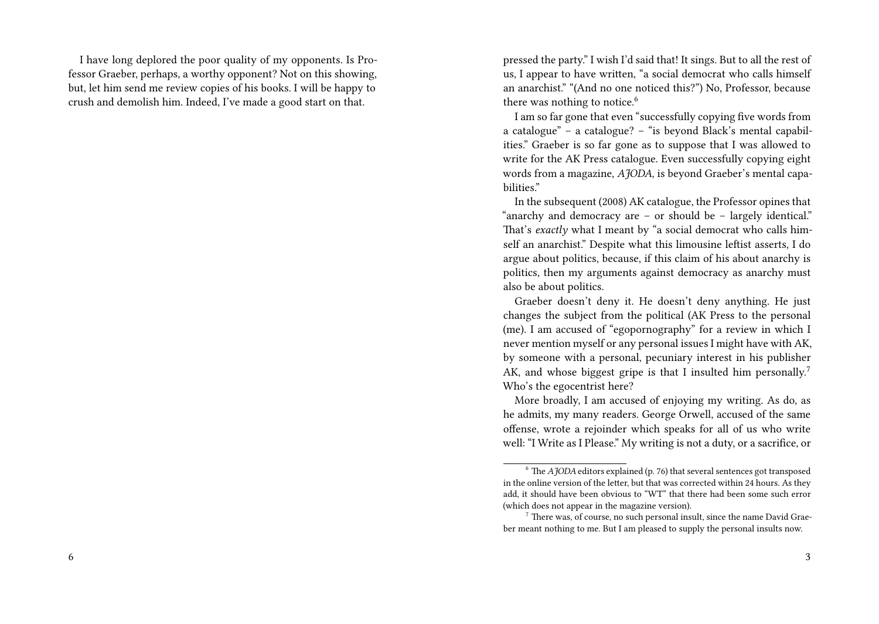I have long deplored the poor quality of my opponents. Is Professor Graeber, perhaps, a worthy opponent? Not on this showing, but, let him send me review copies of his books. I will be happy to crush and demolish him. Indeed, I've made a good start on that.

pressed the party." I wish I'd said that! It sings. But to all the rest of us, I appear to have written, "a social democrat who calls himself an anarchist." "(And no one noticed this?") No, Professor, because there was nothing to notice.<sup>6</sup>

I am so far gone that even "successfully copying five words from a catalogue" – a catalogue? – "is beyond Black's mental capabilities." Graeber is so far gone as to suppose that I was allowed to write for the AK Press catalogue. Even successfully copying eight words from a magazine, *AJODA*, is beyond Graeber's mental capabilities."

In the subsequent (2008) AK catalogue, the Professor opines that "anarchy and democracy are – or should be – largely identical." That's *exactly* what I meant by "a social democrat who calls himself an anarchist." Despite what this limousine leftist asserts, I do argue about politics, because, if this claim of his about anarchy is politics, then my arguments against democracy as anarchy must also be about politics.

Graeber doesn't deny it. He doesn't deny anything. He just changes the subject from the political (AK Press to the personal (me). I am accused of "egopornography" for a review in which I never mention myself or any personal issues I might have with AK, by someone with a personal, pecuniary interest in his publisher AK, and whose biggest gripe is that I insulted him personally.<sup>7</sup> Who's the egocentrist here?

More broadly, I am accused of enjoying my writing. As do, as he admits, my many readers. George Orwell, accused of the same offense, wrote a rejoinder which speaks for all of us who write well: "I Write as I Please." My writing is not a duty, or a sacrifice, or

 $6$  The *AJODA* editors explained (p. 76) that several sentences got transposed in the online version of the letter, but that was corrected within 24 hours. As they add, it should have been obvious to "WT" that there had been some such error (which does not appear in the magazine version).

<sup>&</sup>lt;sup>7</sup> There was, of course, no such personal insult, since the name David Graeber meant nothing to me. But I am pleased to supply the personal insults now.